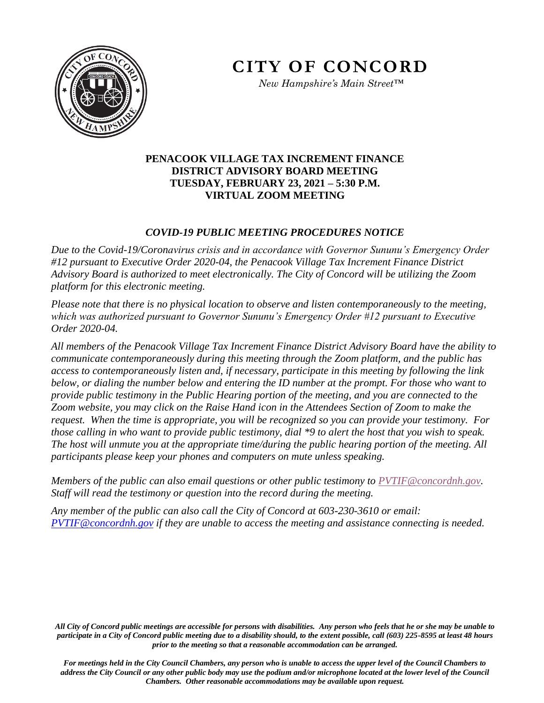

*New Hampshire's Main Street™*

## **PENACOOK VILLAGE TAX INCREMENT FINANCE DISTRICT ADVISORY BOARD MEETING TUESDAY, FEBRUARY 23, 2021 – 5:30 P.M. VIRTUAL ZOOM MEETING**

## *COVID-19 PUBLIC MEETING PROCEDURES NOTICE*

*Due to the Covid-19/Coronavirus crisis and in accordance with Governor Sununu's Emergency Order #12 pursuant to Executive Order 2020-04, the Penacook Village Tax Increment Finance District Advisory Board is authorized to meet electronically. The City of Concord will be utilizing the Zoom platform for this electronic meeting.* 

*Please note that there is no physical location to observe and listen contemporaneously to the meeting, which was authorized pursuant to Governor Sununu's Emergency Order #12 pursuant to Executive Order 2020-04.* 

*All members of the Penacook Village Tax Increment Finance District Advisory Board have the ability to communicate contemporaneously during this meeting through the Zoom platform, and the public has access to contemporaneously listen and, if necessary, participate in this meeting by following the link below, or dialing the number below and entering the ID number at the prompt. For those who want to provide public testimony in the Public Hearing portion of the meeting, and you are connected to the Zoom website, you may click on the Raise Hand icon in the Attendees Section of Zoom to make the request. When the time is appropriate, you will be recognized so you can provide your testimony. For those calling in who want to provide public testimony, dial \*9 to alert the host that you wish to speak. The host will unmute you at the appropriate time/during the public hearing portion of the meeting. All participants please keep your phones and computers on mute unless speaking.* 

*Members of the public can also email questions or other public testimony to PVTIF@concordnh.gov. Staff will read the testimony or question into the record during the meeting.* 

*Any member of the public can also call the City of Concord at 603-230-3610 or email: [PVTIF@concordnh.gov](mailto:PVTIF@concordnh.gov) if they are unable to access the meeting and assistance connecting is needed.*

*All City of Concord public meetings are accessible for persons with disabilities. Any person who feels that he or she may be unable to participate in a City of Concord public meeting due to a disability should, to the extent possible, call (603) 225-8595 at least 48 hours prior to the meeting so that a reasonable accommodation can be arranged.*

*For meetings held in the City Council Chambers, any person who is unable to access the upper level of the Council Chambers to address the City Council or any other public body may use the podium and/or microphone located at the lower level of the Council Chambers. Other reasonable accommodations may be available upon request.*